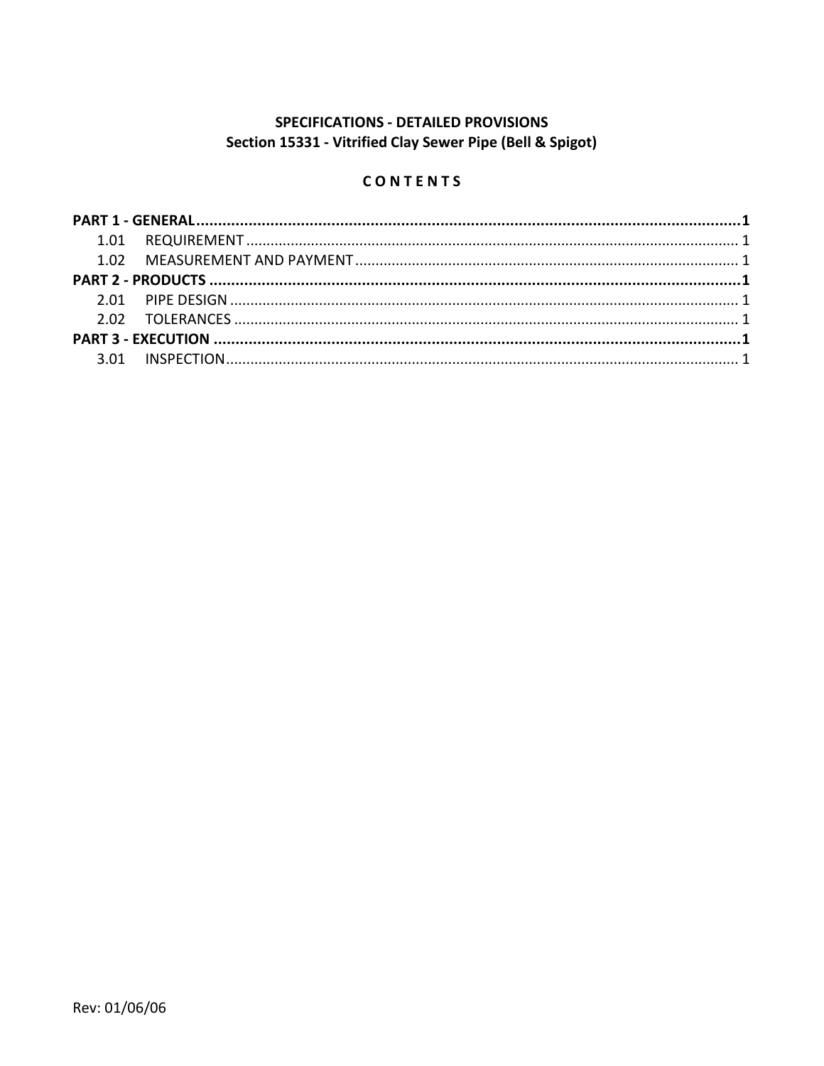# **SPECIFICATIONS - DETAILED PROVISIONS** Section 15331 - Vitrified Clay Sewer Pipe (Bell & Spigot)

# CONTENTS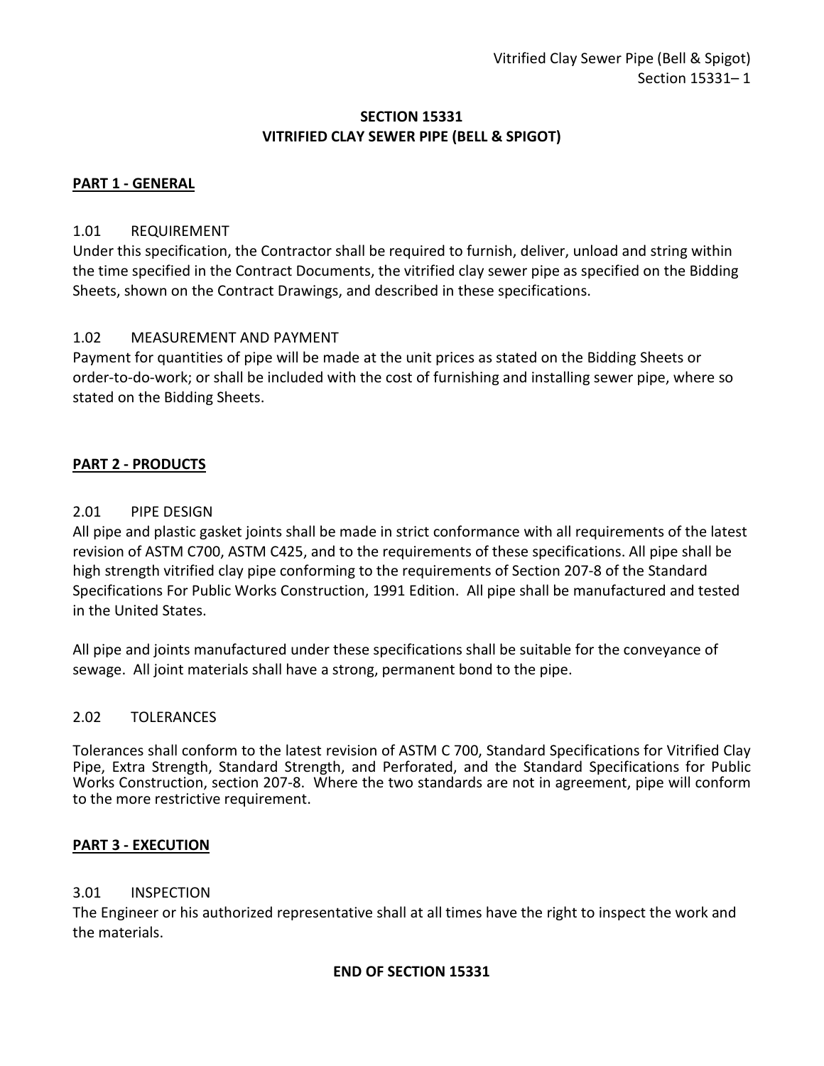## **SECTION 15331 VITRIFIED CLAY SEWER PIPE (BELL & SPIGOT)**

## <span id="page-2-0"></span>**PART 1 - GENERAL**

## <span id="page-2-1"></span>1.01 REQUIREMENT

Under this specification, the Contractor shall be required to furnish, deliver, unload and string within the time specified in the Contract Documents, the vitrified clay sewer pipe as specified on the Bidding Sheets, shown on the Contract Drawings, and described in these specifications.

## <span id="page-2-2"></span>1.02 MEASUREMENT AND PAYMENT

Payment for quantities of pipe will be made at the unit prices as stated on the Bidding Sheets or order-to-do-work; or shall be included with the cost of furnishing and installing sewer pipe, where so stated on the Bidding Sheets.

## <span id="page-2-3"></span>**PART 2 - PRODUCTS**

#### <span id="page-2-4"></span>2.01 PIPE DESIGN

All pipe and plastic gasket joints shall be made in strict conformance with all requirements of the latest revision of ASTM C700, ASTM C425, and to the requirements of these specifications. All pipe shall be high strength vitrified clay pipe conforming to the requirements of Section 207-8 of the Standard Specifications For Public Works Construction, 1991 Edition. All pipe shall be manufactured and tested in the United States.

All pipe and joints manufactured under these specifications shall be suitable for the conveyance of sewage. All joint materials shall have a strong, permanent bond to the pipe.

#### <span id="page-2-5"></span>2.02 TOLERANCES

Tolerances shall conform to the latest revision of ASTM C 700, Standard Specifications for Vitrified Clay Pipe, Extra Strength, Standard Strength, and Perforated, and the Standard Specifications for Public Works Construction, section 207-8. Where the two standards are not in agreement, pipe will conform to the more restrictive requirement.

#### <span id="page-2-6"></span>**PART 3 - EXECUTION**

#### <span id="page-2-7"></span>3.01 INSPECTION

The Engineer or his authorized representative shall at all times have the right to inspect the work and the materials.

#### **END OF SECTION 15331**